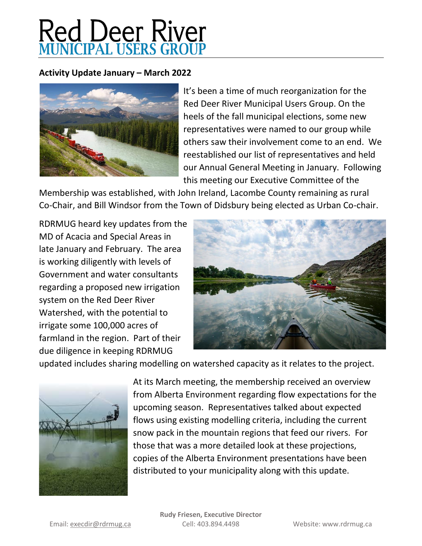## **Red Deer River**<br>MUNICIPAL USERS GROUP

## **Activity Update January – March 2022**



It's been a time of much reorganization for the Red Deer River Municipal Users Group. On the heels of the fall municipal elections, some new representatives were named to our group while others saw their involvement come to an end. We reestablished our list of representatives and held our Annual General Meeting in January. Following this meeting our Executive Committee of the

Membership was established, with John Ireland, Lacombe County remaining as rural Co-Chair, and Bill Windsor from the Town of Didsbury being elected as Urban Co-chair.

RDRMUG heard key updates from the MD of Acacia and Special Areas in late January and February. The area is working diligently with levels of Government and water consultants regarding a proposed new irrigation system on the Red Deer River Watershed, with the potential to irrigate some 100,000 acres of farmland in the region. Part of their due diligence in keeping RDRMUG



updated includes sharing modelling on watershed capacity as it relates to the project.



At its March meeting, the membership received an overview from Alberta Environment regarding flow expectations for the upcoming season. Representatives talked about expected flows using existing modelling criteria, including the current snow pack in the mountain regions that feed our rivers. For those that was a more detailed look at these projections, copies of the Alberta Environment presentations have been distributed to your municipality along with this update.